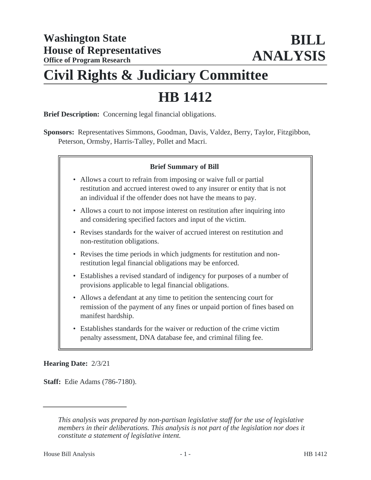# **Civil Rights & Judiciary Committee**

# **HB 1412**

**Brief Description:** Concerning legal financial obligations.

**Sponsors:** Representatives Simmons, Goodman, Davis, Valdez, Berry, Taylor, Fitzgibbon, Peterson, Ormsby, Harris-Talley, Pollet and Macri.

# **Brief Summary of Bill**

- Allows a court to refrain from imposing or waive full or partial restitution and accrued interest owed to any insurer or entity that is not an individual if the offender does not have the means to pay.
- Allows a court to not impose interest on restitution after inquiring into and considering specified factors and input of the victim.
- Revises standards for the waiver of accrued interest on restitution and non-restitution obligations.
- Revises the time periods in which judgments for restitution and nonrestitution legal financial obligations may be enforced.
- Establishes a revised standard of indigency for purposes of a number of provisions applicable to legal financial obligations.
- Allows a defendant at any time to petition the sentencing court for remission of the payment of any fines or unpaid portion of fines based on manifest hardship.
- Establishes standards for the waiver or reduction of the crime victim penalty assessment, DNA database fee, and criminal filing fee.

#### **Hearing Date:** 2/3/21

**Staff:** Edie Adams (786-7180).

*This analysis was prepared by non-partisan legislative staff for the use of legislative members in their deliberations. This analysis is not part of the legislation nor does it constitute a statement of legislative intent.*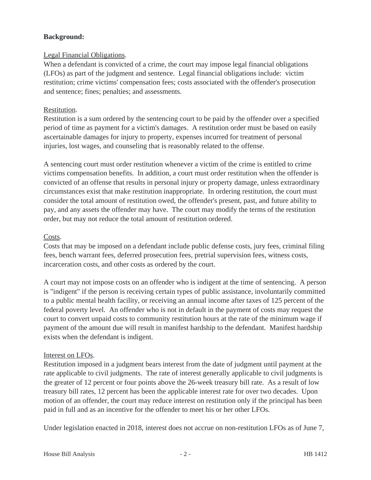# **Background:**

# Legal Financial Obligations.

When a defendant is convicted of a crime, the court may impose legal financial obligations (LFOs) as part of the judgment and sentence. Legal financial obligations include: victim restitution; crime victims' compensation fees; costs associated with the offender's prosecution and sentence; fines; penalties; and assessments.

# Restitution.

Restitution is a sum ordered by the sentencing court to be paid by the offender over a specified period of time as payment for a victim's damages. A restitution order must be based on easily ascertainable damages for injury to property, expenses incurred for treatment of personal injuries, lost wages, and counseling that is reasonably related to the offense.

A sentencing court must order restitution whenever a victim of the crime is entitled to crime victims compensation benefits. In addition, a court must order restitution when the offender is convicted of an offense that results in personal injury or property damage, unless extraordinary circumstances exist that make restitution inappropriate. In ordering restitution, the court must consider the total amount of restitution owed, the offender's present, past, and future ability to pay, and any assets the offender may have. The court may modify the terms of the restitution order, but may not reduce the total amount of restitution ordered.

# Costs.

Costs that may be imposed on a defendant include public defense costs, jury fees, criminal filing fees, bench warrant fees, deferred prosecution fees, pretrial supervision fees, witness costs, incarceration costs, and other costs as ordered by the court.

A court may not impose costs on an offender who is indigent at the time of sentencing. A person is "indigent" if the person is receiving certain types of public assistance, involuntarily committed to a public mental health facility, or receiving an annual income after taxes of 125 percent of the federal poverty level. An offender who is not in default in the payment of costs may request the court to convert unpaid costs to community restitution hours at the rate of the minimum wage if payment of the amount due will result in manifest hardship to the defendant. Manifest hardship exists when the defendant is indigent.

# Interest on LFOs.

Restitution imposed in a judgment bears interest from the date of judgment until payment at the rate applicable to civil judgments. The rate of interest generally applicable to civil judgments is the greater of 12 percent or four points above the 26-week treasury bill rate. As a result of low treasury bill rates, 12 percent has been the applicable interest rate for over two decades. Upon motion of an offender, the court may reduce interest on restitution only if the principal has been paid in full and as an incentive for the offender to meet his or her other LFOs.

Under legislation enacted in 2018, interest does not accrue on non-restitution LFOs as of June 7,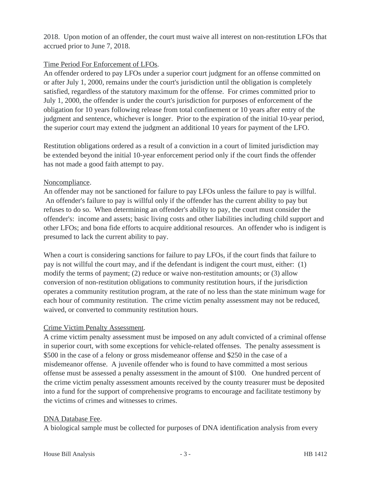2018. Upon motion of an offender, the court must waive all interest on non-restitution LFOs that accrued prior to June 7, 2018.

# Time Period For Enforcement of LFOs.

An offender ordered to pay LFOs under a superior court judgment for an offense committed on or after July 1, 2000, remains under the court's jurisdiction until the obligation is completely satisfied, regardless of the statutory maximum for the offense. For crimes committed prior to July 1, 2000, the offender is under the court's jurisdiction for purposes of enforcement of the obligation for 10 years following release from total confinement or 10 years after entry of the judgment and sentence, whichever is longer. Prior to the expiration of the initial 10-year period, the superior court may extend the judgment an additional 10 years for payment of the LFO.

Restitution obligations ordered as a result of a conviction in a court of limited jurisdiction may be extended beyond the initial 10-year enforcement period only if the court finds the offender has not made a good faith attempt to pay.

# Noncompliance.

An offender may not be sanctioned for failure to pay LFOs unless the failure to pay is willful. An offender's failure to pay is willful only if the offender has the current ability to pay but refuses to do so. When determining an offender's ability to pay, the court must consider the offender's: income and assets; basic living costs and other liabilities including child support and other LFOs; and bona fide efforts to acquire additional resources. An offender who is indigent is presumed to lack the current ability to pay.

When a court is considering sanctions for failure to pay LFOs, if the court finds that failure to pay is not willful the court may, and if the defendant is indigent the court must, either: (1) modify the terms of payment; (2) reduce or waive non-restitution amounts; or (3) allow conversion of non-restitution obligations to community restitution hours, if the jurisdiction operates a community restitution program, at the rate of no less than the state minimum wage for each hour of community restitution. The crime victim penalty assessment may not be reduced, waived, or converted to community restitution hours.

# Crime Victim Penalty Assessment.

A crime victim penalty assessment must be imposed on any adult convicted of a criminal offense in superior court, with some exceptions for vehicle-related offenses. The penalty assessment is \$500 in the case of a felony or gross misdemeanor offense and \$250 in the case of a misdemeanor offense. A juvenile offender who is found to have committed a most serious offense must be assessed a penalty assessment in the amount of \$100. One hundred percent of the crime victim penalty assessment amounts received by the county treasurer must be deposited into a fund for the support of comprehensive programs to encourage and facilitate testimony by the victims of crimes and witnesses to crimes.

# DNA Database Fee.

A biological sample must be collected for purposes of DNA identification analysis from every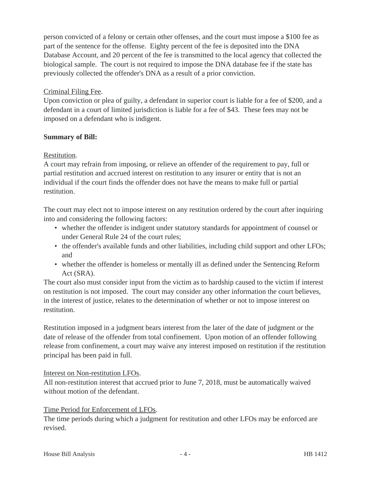person convicted of a felony or certain other offenses, and the court must impose a \$100 fee as part of the sentence for the offense. Eighty percent of the fee is deposited into the DNA Database Account, and 20 percent of the fee is transmitted to the local agency that collected the biological sample. The court is not required to impose the DNA database fee if the state has previously collected the offender's DNA as a result of a prior conviction.

# Criminal Filing Fee.

Upon conviction or plea of guilty, a defendant in superior court is liable for a fee of \$200, and a defendant in a court of limited jurisdiction is liable for a fee of \$43. These fees may not be imposed on a defendant who is indigent.

# **Summary of Bill:**

# Restitution.

A court may refrain from imposing, or relieve an offender of the requirement to pay, full or partial restitution and accrued interest on restitution to any insurer or entity that is not an individual if the court finds the offender does not have the means to make full or partial restitution.

The court may elect not to impose interest on any restitution ordered by the court after inquiring into and considering the following factors:

- whether the offender is indigent under statutory standards for appointment of counsel or under General Rule 24 of the court rules;
- the offender's available funds and other liabilities, including child support and other LFOs; and
- whether the offender is homeless or mentally ill as defined under the Sentencing Reform Act (SRA).

The court also must consider input from the victim as to hardship caused to the victim if interest on restitution is not imposed. The court may consider any other information the court believes, in the interest of justice, relates to the determination of whether or not to impose interest on restitution.

Restitution imposed in a judgment bears interest from the later of the date of judgment or the date of release of the offender from total confinement. Upon motion of an offender following release from confinement, a court may waive any interest imposed on restitution if the restitution principal has been paid in full.

# Interest on Non-restitution LFOs.

All non-restitution interest that accrued prior to June 7, 2018, must be automatically waived without motion of the defendant.

# Time Period for Enforcement of LFOs.

The time periods during which a judgment for restitution and other LFOs may be enforced are revised.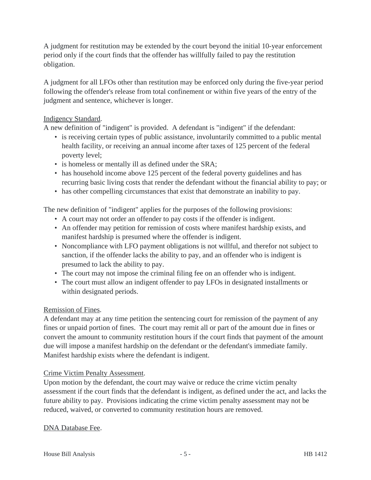A judgment for restitution may be extended by the court beyond the initial 10-year enforcement period only if the court finds that the offender has willfully failed to pay the restitution obligation.

A judgment for all LFOs other than restitution may be enforced only during the five-year period following the offender's release from total confinement or within five years of the entry of the judgment and sentence, whichever is longer.

# Indigency Standard.

A new definition of "indigent" is provided. A defendant is "indigent" if the defendant:

- is receiving certain types of public assistance, involuntarily committed to a public mental health facility, or receiving an annual income after taxes of 125 percent of the federal poverty level;
- is homeless or mentally ill as defined under the SRA;
- has household income above 125 percent of the federal poverty guidelines and has recurring basic living costs that render the defendant without the financial ability to pay; or
- has other compelling circumstances that exist that demonstrate an inability to pay.

The new definition of "indigent" applies for the purposes of the following provisions:

- A court may not order an offender to pay costs if the offender is indigent.
- An offender may petition for remission of costs where manifest hardship exists, and manifest hardship is presumed where the offender is indigent.
- Noncompliance with LFO payment obligations is not willful, and therefor not subject to sanction, if the offender lacks the ability to pay, and an offender who is indigent is presumed to lack the ability to pay.
- The court may not impose the criminal filing fee on an offender who is indigent.
- The court must allow an indigent offender to pay LFOs in designated installments or within designated periods.

# Remission of Fines.

A defendant may at any time petition the sentencing court for remission of the payment of any fines or unpaid portion of fines. The court may remit all or part of the amount due in fines or convert the amount to community restitution hours if the court finds that payment of the amount due will impose a manifest hardship on the defendant or the defendant's immediate family. Manifest hardship exists where the defendant is indigent.

# Crime Victim Penalty Assessment.

Upon motion by the defendant, the court may waive or reduce the crime victim penalty assessment if the court finds that the defendant is indigent, as defined under the act, and lacks the future ability to pay. Provisions indicating the crime victim penalty assessment may not be reduced, waived, or converted to community restitution hours are removed.

# DNA Database Fee.